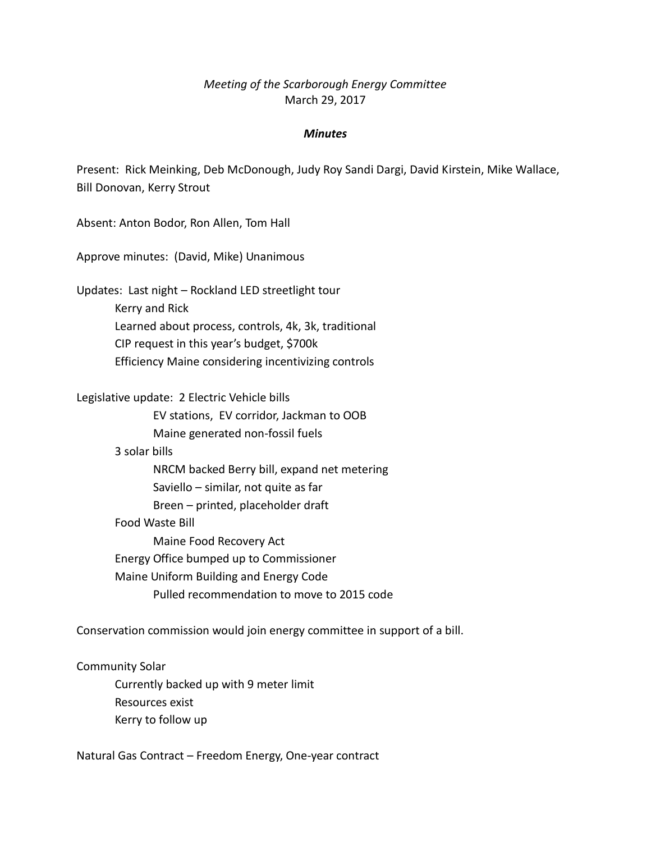# *Meeting of the Scarborough Energy Committee* March 29, 2017

### *Minutes*

Present: Rick Meinking, Deb McDonough, Judy Roy Sandi Dargi, David Kirstein, Mike Wallace, Bill Donovan, Kerry Strout

Absent: Anton Bodor, Ron Allen, Tom Hall

Approve minutes: (David, Mike) Unanimous

Updates: Last night – Rockland LED streetlight tour Kerry and Rick Learned about process, controls, 4k, 3k, traditional CIP request in this year's budget, \$700k Efficiency Maine considering incentivizing controls

Legislative update: 2 Electric Vehicle bills

EV stations, EV corridor, Jackman to OOB Maine generated non-fossil fuels

3 solar bills

NRCM backed Berry bill, expand net metering Saviello – similar, not quite as far Breen – printed, placeholder draft

Food Waste Bill

Maine Food Recovery Act Energy Office bumped up to Commissioner Maine Uniform Building and Energy Code Pulled recommendation to move to 2015 code

Conservation commission would join energy committee in support of a bill.

Community Solar Currently backed up with 9 meter limit Resources exist Kerry to follow up

Natural Gas Contract – Freedom Energy, One-year contract